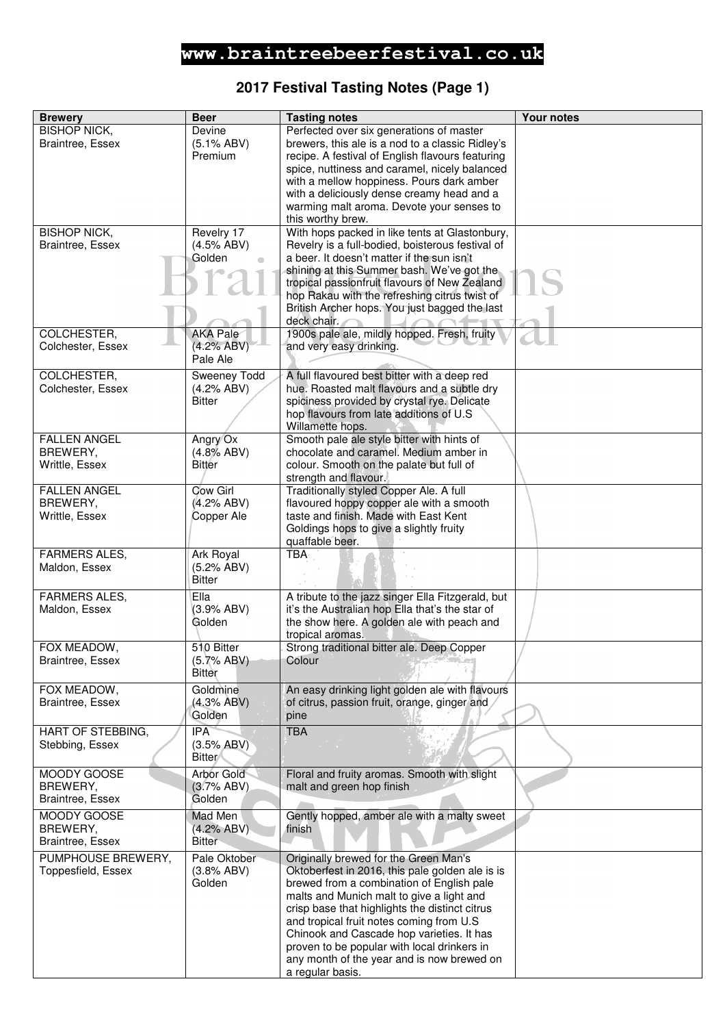# **2017 Festival Tasting Notes (Page 1)**

| <b>Brewery</b>                        | <b>Beer</b>                     | <b>Tasting notes</b>                                                                                 | <b>Your notes</b> |
|---------------------------------------|---------------------------------|------------------------------------------------------------------------------------------------------|-------------------|
| <b>BISHOP NICK,</b>                   | Devine                          | Perfected over six generations of master                                                             |                   |
| Braintree, Essex                      | $(5.1\% ABV)$                   | brewers, this ale is a nod to a classic Ridley's                                                     |                   |
|                                       | Premium                         | recipe. A festival of English flavours featuring                                                     |                   |
|                                       |                                 | spice, nuttiness and caramel, nicely balanced                                                        |                   |
|                                       |                                 | with a mellow hoppiness. Pours dark amber                                                            |                   |
|                                       |                                 | with a deliciously dense creamy head and a                                                           |                   |
|                                       |                                 | warming malt aroma. Devote your senses to                                                            |                   |
| <b>BISHOP NICK,</b>                   | Revelry 17                      | this worthy brew.<br>With hops packed in like tents at Glastonbury,                                  |                   |
| Braintree, Essex                      | (4.5% ABV)                      | Revelry is a full-bodied, boisterous festival of                                                     |                   |
|                                       | Golden                          | a beer. It doesn't matter if the sun isn't                                                           |                   |
|                                       |                                 | shining at this Summer bash. We've got the                                                           |                   |
|                                       |                                 | tropical passionfruit flavours of New Zealand                                                        |                   |
|                                       |                                 | hop Rakau with the refreshing citrus twist of                                                        |                   |
|                                       |                                 | British Archer hops. You just bagged the last                                                        |                   |
| COLCHESTER,                           | <b>AKA Pale</b>                 | deck chair.<br>1900s pale ale, mildly hopped. Fresh, fruity                                          |                   |
| Colchester, Essex                     | (4.2% ABV)                      | and very easy drinking.                                                                              |                   |
|                                       | Pale Ale                        |                                                                                                      |                   |
| <b>COLCHESTER,</b>                    | Sweeney Todd                    | A full flavoured best bitter with a deep red                                                         |                   |
| Colchester, Essex                     | (4.2% ABV)                      | hue. Roasted malt flavours and a subtle dry                                                          |                   |
|                                       | <b>Bitter</b>                   | spiciness provided by crystal rye. Delicate                                                          |                   |
|                                       |                                 | hop flavours from late additions of U.S.                                                             |                   |
|                                       |                                 | Willamette hops.                                                                                     |                   |
| <b>FALLEN ANGEL</b>                   | Angry Ox                        | Smooth pale ale style bitter with hints of                                                           |                   |
| BREWERY,                              | (4.8% ABV)                      | chocolate and caramel. Medium amber in                                                               |                   |
| Writtle, Essex                        | <b>Bitter</b>                   | colour. Smooth on the palate but full of                                                             |                   |
| <b>FALLEN ANGEL</b>                   | <b>Cow Girl</b>                 | strength and flavour.<br>Traditionally styled Copper Ale. A full                                     |                   |
| BREWERY,                              | (4.2% ABV)                      | flavoured hoppy copper ale with a smooth                                                             |                   |
| Writtle, Essex                        | Copper Ale                      | taste and finish. Made with East Kent                                                                |                   |
|                                       |                                 | Goldings hops to give a slightly fruity                                                              |                   |
|                                       |                                 | quaffable beer.                                                                                      |                   |
| <b>FARMERS ALES,</b>                  | Ark Royal                       | <b>TBA</b>                                                                                           |                   |
| Maldon, Essex                         | (5.2% ABV)                      |                                                                                                      |                   |
|                                       | <b>Bitter</b>                   |                                                                                                      |                   |
| <b>FARMERS ALES,</b><br>Maldon, Essex | Ella<br>(3.9% ABV)              | A tribute to the jazz singer Ella Fitzgerald, but<br>it's the Australian hop Ella that's the star of |                   |
|                                       | Golden                          | the show here. A golden ale with peach and                                                           |                   |
|                                       |                                 | tropical aromas.                                                                                     |                   |
| FOX MEADOW,                           | 510 Bitter                      | Strong traditional bitter ale. Deep Copper                                                           |                   |
| <b>Braintree, Essex</b>               | (5.7% ABV)                      | Colour                                                                                               |                   |
|                                       | Bitter                          |                                                                                                      |                   |
| FOX MEADOW,                           | Goldmine                        | An easy drinking light golden ale with flavours                                                      |                   |
| Braintree, Essex                      | (4.3% ABV)                      | of citrus, passion fruit, orange, ginger and                                                         |                   |
|                                       | Golden                          | pine                                                                                                 |                   |
| HART OF STEBBING,                     | <b>IPA</b>                      | <b>TBA</b>                                                                                           |                   |
| Stebbing, Essex                       | (3.5% ABV)<br><b>Bitter</b>     |                                                                                                      |                   |
| MOODY GOOSE                           |                                 |                                                                                                      |                   |
| BREWERY,                              | <b>Arbor Gold</b><br>(3.7% ABV) | Floral and fruity aromas. Smooth with slight<br>malt and green hop finish                            |                   |
| Braintree, Essex                      | Golden                          |                                                                                                      |                   |
| MOODY GOOSE                           | Mad Men                         | Gently hopped, amber ale with a malty sweet                                                          |                   |
| BREWERY,                              | (4.2% ABV)                      | finish                                                                                               |                   |
| <b>Braintree, Essex</b>               | <b>Bitter</b>                   |                                                                                                      |                   |
| PUMPHOUSE BREWERY,                    | Pale Oktober                    | Originally brewed for the Green Man's                                                                |                   |
| Toppesfield, Essex                    | (3.8% ABV)                      | Oktoberfest in 2016, this pale golden ale is is                                                      |                   |
|                                       | Golden                          | brewed from a combination of English pale                                                            |                   |
|                                       |                                 | malts and Munich malt to give a light and                                                            |                   |
|                                       |                                 | crisp base that highlights the distinct citrus                                                       |                   |
|                                       |                                 | and tropical fruit notes coming from U.S<br>Chinook and Cascade hop varieties. It has                |                   |
|                                       |                                 | proven to be popular with local drinkers in                                                          |                   |
|                                       |                                 | any month of the year and is now brewed on                                                           |                   |
|                                       |                                 | a regular basis.                                                                                     |                   |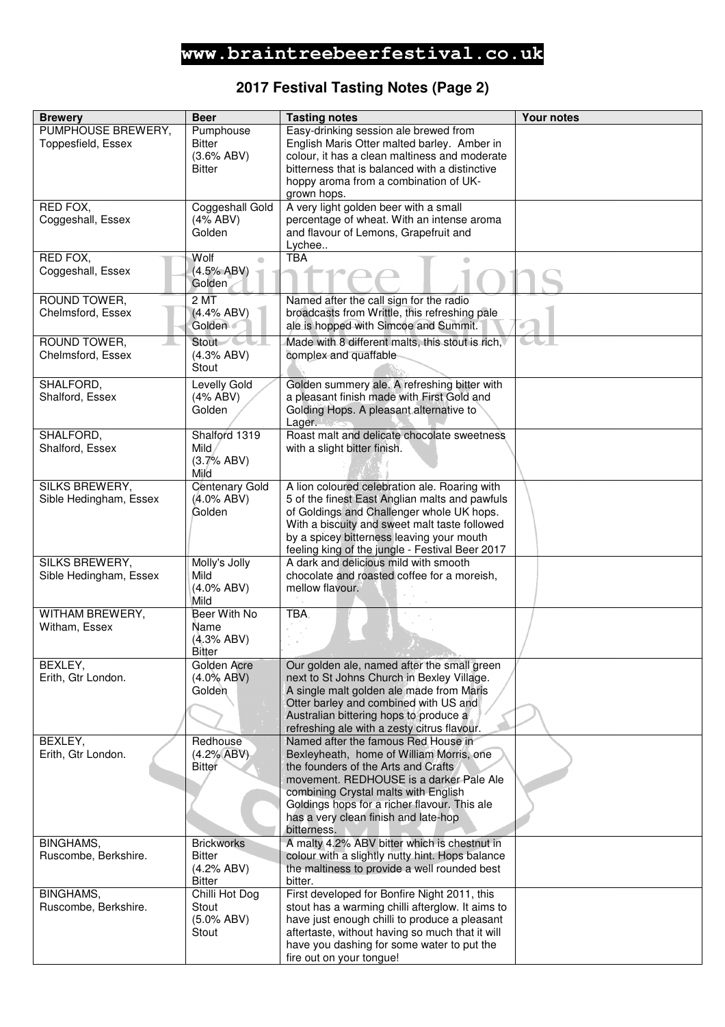# **2017 Festival Tasting Notes (Page 2)**

| <b>Brewery</b>                                  | <b>Beer</b>                                                                                                                               | <b>Tasting notes</b>                                                                              | <b>Your notes</b> |
|-------------------------------------------------|-------------------------------------------------------------------------------------------------------------------------------------------|---------------------------------------------------------------------------------------------------|-------------------|
| PUMPHOUSE BREWERY,                              | Pumphouse                                                                                                                                 | Easy-drinking session ale brewed from                                                             |                   |
| Toppesfield, Essex                              | <b>Bitter</b><br>(3.6% ABV)                                                                                                               | English Maris Otter malted barley. Amber in<br>colour, it has a clean maltiness and moderate      |                   |
|                                                 | <b>Bitter</b>                                                                                                                             | bitterness that is balanced with a distinctive                                                    |                   |
|                                                 |                                                                                                                                           | hoppy aroma from a combination of UK-                                                             |                   |
|                                                 |                                                                                                                                           | grown hops.                                                                                       |                   |
| RED FOX,<br>Coggeshall, Essex                   | Coggeshall Gold<br>(4% ABV)                                                                                                               | A very light golden beer with a small<br>percentage of wheat. With an intense aroma               |                   |
|                                                 | Golden                                                                                                                                    | and flavour of Lemons, Grapefruit and                                                             |                   |
|                                                 |                                                                                                                                           | Lychee                                                                                            |                   |
| RED FOX,                                        | Wolf<br>$\begin{array}{c} \begin{array}{c} \begin{array}{c} \begin{array}{c} \end{array} \end{array} \end{array} \end{array} \end{array}$ | <b>TBA</b>                                                                                        |                   |
| Coggeshall, Essex                               | (4.5% ABV)<br>Golden                                                                                                                      |                                                                                                   |                   |
| ROUND TOWER,                                    | $2\overline{MT}$                                                                                                                          | Named after the call sign for the radio                                                           |                   |
| Chelmsford, Essex                               | (4.4% ABV)                                                                                                                                | broadcasts from Writtle, this refreshing pale                                                     |                   |
|                                                 | Golden                                                                                                                                    | ale is hopped with Simcoe and Summit.                                                             |                   |
| ROUND TOWER,                                    | Stout-                                                                                                                                    | Made with 8 different malts, this stout is rich,                                                  |                   |
| Chelmsford, Essex                               | (4.3% ABV)                                                                                                                                | complex and quaffable                                                                             |                   |
|                                                 | Stout                                                                                                                                     |                                                                                                   |                   |
| SHALFORD,<br>Shalford, Essex                    | Levelly Gold<br>(4% ABV)                                                                                                                  | Golden summery ale. A refreshing bitter with<br>a pleasant finish made with First Gold and        |                   |
|                                                 | Golden                                                                                                                                    | Golding Hops. A pleasant alternative to                                                           |                   |
|                                                 |                                                                                                                                           | Lager.                                                                                            |                   |
| SHALFORD,                                       | Shalford 1319                                                                                                                             | Roast malt and delicate chocolate sweetness                                                       |                   |
| Shalford, Essex                                 | Mild<br>(3.7% ABV)                                                                                                                        | with a slight bitter finish.                                                                      |                   |
|                                                 | Mild                                                                                                                                      |                                                                                                   |                   |
| <b>SILKS BREWERY,</b>                           | <b>Centenary Gold</b>                                                                                                                     | A lion coloured celebration ale. Roaring with                                                     |                   |
| Sible Hedingham, Essex                          | $(4.0\%$ ABV)<br>Golden                                                                                                                   | 5 of the finest East Anglian malts and pawfuls<br>of Goldings and Challenger whole UK hops.       |                   |
|                                                 |                                                                                                                                           | With a biscuity and sweet malt taste followed                                                     |                   |
|                                                 |                                                                                                                                           | by a spicey bitterness leaving your mouth                                                         |                   |
|                                                 |                                                                                                                                           | feeling king of the jungle - Festival Beer 2017                                                   |                   |
| <b>SILKS BREWERY,</b><br>Sible Hedingham, Essex | Molly's Jolly<br>Mild                                                                                                                     | A dark and delicious mild with smooth<br>chocolate and roasted coffee for a moreish,              |                   |
|                                                 | $(4.0\%$ ABV)                                                                                                                             | mellow flavour.                                                                                   |                   |
|                                                 | Mild                                                                                                                                      |                                                                                                   |                   |
| WITHAM BREWERY,                                 | Beer With No                                                                                                                              | TBA.                                                                                              |                   |
| Witham, Essex                                   | Name<br>(4.3% ABV)                                                                                                                        |                                                                                                   |                   |
|                                                 | Bitter                                                                                                                                    |                                                                                                   |                   |
| BEXLEY,                                         | Golden Acre                                                                                                                               | Our golden ale, named after the small green                                                       |                   |
| Erith, Gtr London.                              | $(4.0\%$ ABV)<br>Golden                                                                                                                   | next to St Johns Church in Bexley Village.<br>A single malt golden ale made from Maris            |                   |
|                                                 |                                                                                                                                           | Otter barley and combined with US and                                                             |                   |
|                                                 |                                                                                                                                           | Australian bittering hops to produce a                                                            |                   |
|                                                 | Redhouse                                                                                                                                  | refreshing ale with a zesty citrus flavour.<br>Named after the famous Red House in                |                   |
| BEXLEY,<br>Erith, Gtr London.                   | (4.2% ABV)                                                                                                                                | Bexleyheath, home of William Morris, one                                                          |                   |
|                                                 | <b>Bitter</b>                                                                                                                             | the founders of the Arts and Crafts                                                               |                   |
|                                                 |                                                                                                                                           | movement. REDHOUSE is a darker Pale Ale                                                           |                   |
|                                                 |                                                                                                                                           | combining Crystal malts with English<br>Goldings hops for a richer flavour. This ale              |                   |
|                                                 |                                                                                                                                           | has a very clean finish and late-hop                                                              |                   |
|                                                 |                                                                                                                                           | bitterness.                                                                                       |                   |
| BINGHAMS,<br>Ruscombe, Berkshire.               | <b>Brickworks</b><br><b>Bitter</b>                                                                                                        | A malty 4.2% ABV bitter which is chestnut in<br>colour with a slightly nutty hint. Hops balance   |                   |
|                                                 | (4.2% ABV)                                                                                                                                | the maltiness to provide a well rounded best                                                      |                   |
|                                                 | <b>Bitter</b>                                                                                                                             | bitter.                                                                                           |                   |
| BINGHAMS,                                       | Chilli Hot Dog                                                                                                                            | First developed for Bonfire Night 2011, this                                                      |                   |
| Ruscombe, Berkshire.                            | Stout<br>$(5.0\%$ ABV)                                                                                                                    | stout has a warming chilli afterglow. It aims to<br>have just enough chilli to produce a pleasant |                   |
|                                                 | Stout                                                                                                                                     | aftertaste, without having so much that it will                                                   |                   |
|                                                 |                                                                                                                                           | have you dashing for some water to put the                                                        |                   |
|                                                 |                                                                                                                                           | fire out on your tongue!                                                                          |                   |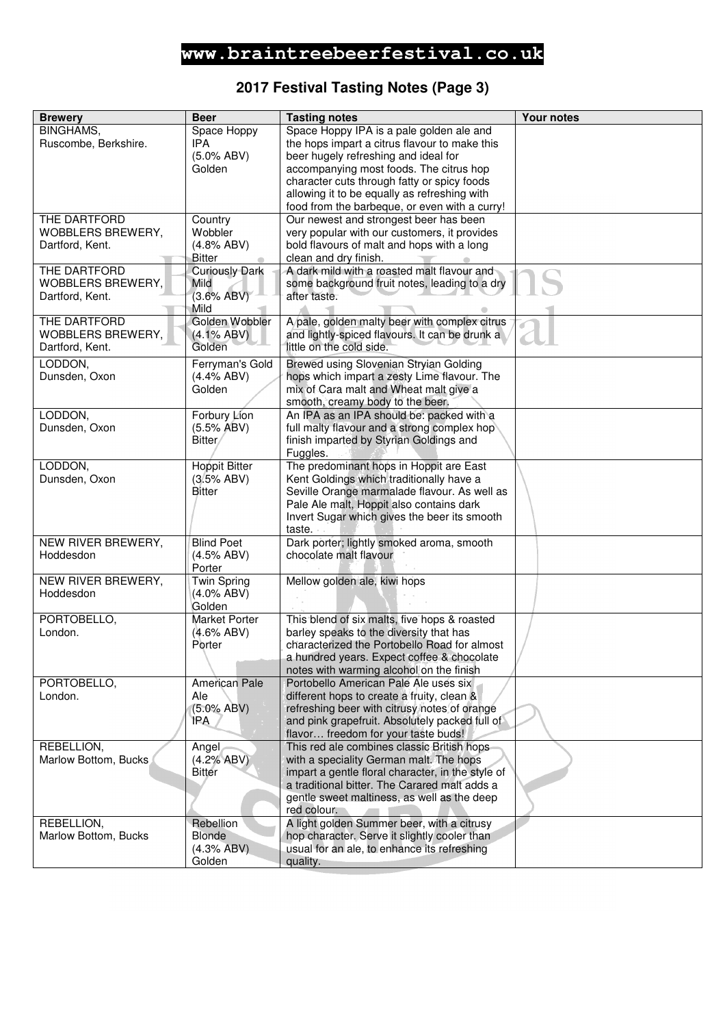# **2017 Festival Tasting Notes (Page 3)**

| <b>Brewery</b>       | <b>Beer</b>             | <b>Tasting notes</b>                                                                        | <b>Your notes</b> |
|----------------------|-------------------------|---------------------------------------------------------------------------------------------|-------------------|
| <b>BINGHAMS,</b>     | Space Hoppy             | Space Hoppy IPA is a pale golden ale and                                                    |                   |
| Ruscombe, Berkshire. | <b>IPA</b>              | the hops impart a citrus flavour to make this                                               |                   |
|                      | $(5.0\%$ ABV)           | beer hugely refreshing and ideal for                                                        |                   |
|                      | Golden                  | accompanying most foods. The citrus hop                                                     |                   |
|                      |                         | character cuts through fatty or spicy foods<br>allowing it to be equally as refreshing with |                   |
|                      |                         | food from the barbeque, or even with a curry!                                               |                   |
| THE DARTFORD         | Country                 | Our newest and strongest beer has been                                                      |                   |
| WOBBLERS BREWERY,    | Wobbler                 | very popular with our customers, it provides                                                |                   |
| Dartford, Kent.      | (4.8% ABV)              | bold flavours of malt and hops with a long                                                  |                   |
|                      | <b>Bitter</b>           | clean and dry finish.                                                                       |                   |
| THE DARTFORD         | <b>Curiously Dark</b>   | A dark mild with a roasted malt flavour and                                                 |                   |
| WOBBLERS BREWERY,    | Mild                    | some background fruit notes, leading to a dry                                               |                   |
| Dartford, Kent.      | (3.6% ABV)              | after taste.                                                                                |                   |
| THE DARTFORD         | Mild<br>Golden Wobbler  | A pale, golden malty beer with complex citrus                                               |                   |
| WOBBLERS BREWERY,    | $(4.1\% ABV)$           | and lightly-spiced flavours. It can be drunk a                                              |                   |
| Dartford, Kent.      | Golden                  | little on the cold side.                                                                    |                   |
| LODDON,              | Ferryman's Gold         | Brewed using Slovenian Stryian Golding                                                      |                   |
| Dunsden, Oxon        | (4.4% ABV)              | hops which impart a zesty Lime flavour. The                                                 |                   |
|                      | Golden                  | mix of Cara malt and Wheat malt give a                                                      |                   |
|                      |                         | smooth, creamy body to the beer.                                                            |                   |
| LODDON,              | Forbury Lion            | An IPA as an IPA should be: packed with a                                                   |                   |
| Dunsden, Oxon        | (5.5% ABV)              | full malty flavour and a strong complex hop                                                 |                   |
|                      | Bitter/                 | finish imparted by Styrian Goldings and                                                     |                   |
|                      |                         | Fuggles.                                                                                    |                   |
| LODDON,              | <b>Hoppit Bitter</b>    | The predominant hops in Hoppit are East                                                     |                   |
| Dunsden, Oxon        | (3.5% ABV)              | Kent Goldings which traditionally have a                                                    |                   |
|                      | <b>Bitter</b>           | Seville Orange marmalade flavour. As well as                                                |                   |
|                      |                         | Pale Ale malt, Hoppit also contains dark<br>Invert Sugar which gives the beer its smooth    |                   |
|                      |                         | taste.                                                                                      |                   |
| NEW RIVER BREWERY,   | <b>Blind Poet</b>       | Dark porter; lightly smoked aroma, smooth                                                   |                   |
| Hoddesdon            | (4.5% ABV)              | chocolate malt flavour                                                                      |                   |
|                      | Porter                  |                                                                                             |                   |
| NEW RIVER BREWERY,   | <b>Twin Spring</b>      | Mellow golden ale, kiwi hops                                                                |                   |
| Hoddesdon            | $(4.0\%$ ABV)           |                                                                                             |                   |
| PORTOBELLO,          | Golden<br>Market Porter | This blend of six malts, five hops & roasted                                                |                   |
| London.              | $(4.6\%$ ABV)           | barley speaks to the diversity that has                                                     |                   |
|                      | Porter                  | characterized the Portobello Road for almost                                                |                   |
|                      |                         | a hundred years. Expect coffee & chocolate                                                  |                   |
|                      |                         | notes with warming alcohol on the finish                                                    |                   |
| PORTOBELLO,          | American Pale           | Portobello American Pale Ale uses six                                                       |                   |
| London.              | Ale                     | different hops to create a fruity, clean &                                                  |                   |
|                      | $(5.0\% ABV)$           | refreshing beer with citrusy notes of orange                                                |                   |
|                      | IPA                     | and pink grapefruit. Absolutely packed full of                                              |                   |
| REBELLION,           |                         | flavor freedom for your taste buds!<br>This red ale combines classic British hops           |                   |
| Marlow Bottom, Bucks | Angel<br>(4.2% ABV)     | with a speciality German malt. The hops                                                     |                   |
|                      | <b>Bitter</b>           | impart a gentle floral character, in the style of                                           |                   |
|                      |                         | a traditional bitter. The Carared malt adds a                                               |                   |
|                      |                         | gentle sweet maltiness, as well as the deep                                                 |                   |
|                      |                         | red colour.                                                                                 |                   |
| REBELLION,           | Rebellion               | A light golden Summer beer, with a citrusy                                                  |                   |
| Marlow Bottom, Bucks | Blonde                  | hop character. Serve it slightly cooler than                                                |                   |
|                      | (4.3% ABV)              | usual for an ale, to enhance its refreshing                                                 |                   |
|                      | Golden                  | quality.                                                                                    |                   |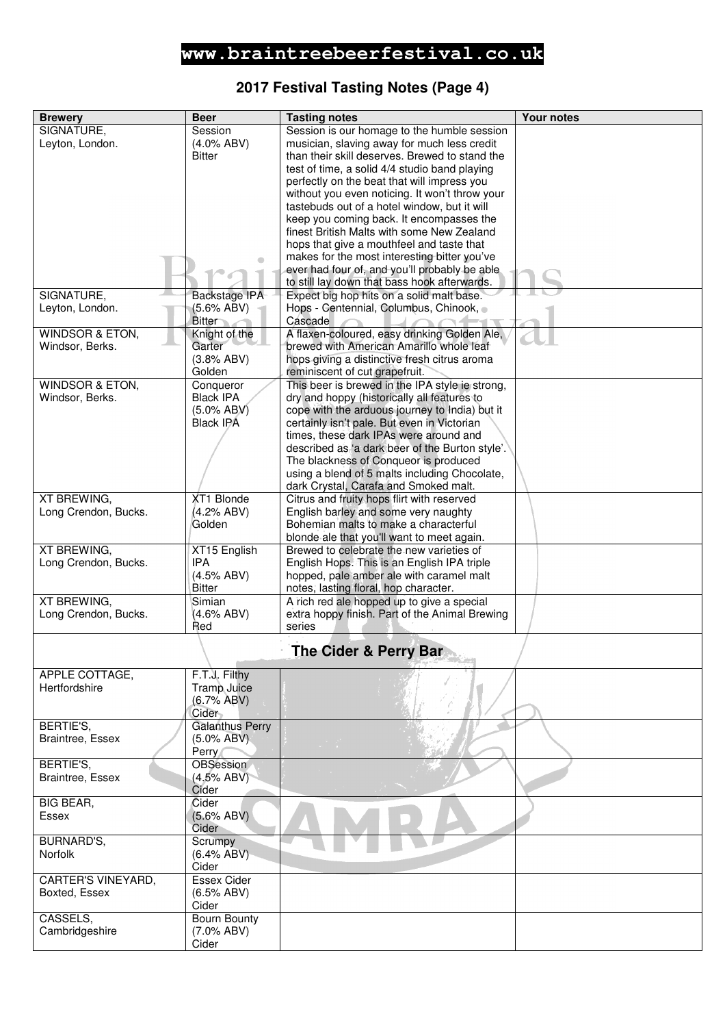# **2017 Festival Tasting Notes (Page 4)**

| <b>Brewery</b>             | <b>Beer</b>            | <b>Tasting notes</b>                            | <b>Your notes</b> |
|----------------------------|------------------------|-------------------------------------------------|-------------------|
| SIGNATURE,                 | Session                | Session is our homage to the humble session     |                   |
| Leyton, London.            | $(4.0\%$ ABV)          | musician, slaving away for much less credit     |                   |
|                            |                        |                                                 |                   |
|                            | <b>Bitter</b>          | than their skill deserves. Brewed to stand the  |                   |
|                            |                        | test of time, a solid 4/4 studio band playing   |                   |
|                            |                        | perfectly on the beat that will impress you     |                   |
|                            |                        | without you even noticing. It won't throw your  |                   |
|                            |                        | tastebuds out of a hotel window, but it will    |                   |
|                            |                        | keep you coming back. It encompasses the        |                   |
|                            |                        | finest British Malts with some New Zealand      |                   |
|                            |                        | hops that give a mouthfeel and taste that       |                   |
|                            |                        | makes for the most interesting bitter you've    |                   |
|                            |                        | ever had four of, and you'll probably be able   |                   |
|                            |                        | to still lay down that bass hook afterwards.    |                   |
| SIGNATURE,                 | Backstage IPA          | Expect big hop hits on a solid malt base.       |                   |
| Leyton, London.            | (5.6% ABV)             | Hops - Centennial, Columbus, Chinook, o         |                   |
|                            | <b>Bitter</b>          | Cascade                                         |                   |
| <b>WINDSOR &amp; ETON,</b> | Knight of the          | A flaxen-coloured, easy drinking Golden Ale,    |                   |
| Windsor, Berks.            | Garter                 | brewed with American Amarillo whole leaf        |                   |
|                            | (3.8% ABV)             | hops giving a distinctive fresh citrus aroma    |                   |
|                            | Golden                 | reminiscent of cut grapefruit.                  |                   |
| <b>WINDSOR &amp; ETON,</b> | Conqueror              | This beer is brewed in the IPA style ie strong, |                   |
| Windsor, Berks.            | <b>Black IPA</b>       | dry and hoppy (historically all features to     |                   |
|                            | $(5.0\%$ ABV)          | cope with the arduous journey to India) but it  |                   |
|                            | <b>Black IPA</b>       | certainly isn't pale. But even in Victorian     |                   |
|                            |                        | times, these dark IPAs were around and          |                   |
|                            |                        | described as 'a dark beer of the Burton style'. |                   |
|                            |                        | The blackness of Conqueor is produced           |                   |
|                            |                        | using a blend of 5 malts including Chocolate,   |                   |
|                            |                        | dark Crystal, Carafa and Smoked malt.           |                   |
| XT BREWING,                | XT1 Blonde             | Citrus and fruity hops flirt with reserved      |                   |
| Long Crendon, Bucks.       | (4.2% ABV)             | English barley and some very naughty            |                   |
|                            | Golden                 | Bohemian malts to make a characterful           |                   |
|                            |                        | blonde ale that you'll want to meet again.      |                   |
| <b>XT BREWING,</b>         | XT15 English           | Brewed to celebrate the new varieties of        |                   |
| Long Crendon, Bucks.       | <b>IPA</b>             | English Hops. This is an English IPA triple     |                   |
|                            | (4.5% ABV)             | hopped, pale amber ale with caramel malt        |                   |
|                            | Bitter                 | notes, lasting floral, hop character.           |                   |
| <b>XT BREWING,</b>         | Simian                 | A rich red ale hopped up to give a special      |                   |
| Long Crendon, Bucks.       | (4.6% ABV)             | extra hoppy finish. Part of the Animal Brewing  |                   |
|                            | Red                    | series                                          |                   |
|                            |                        | <b>The Cider &amp; Perry Bar</b>                |                   |
|                            |                        |                                                 |                   |
| APPLE COTTAGE,             | F.T.J. Filthy          |                                                 |                   |
| Hertfordshire              | Tramp Juice            |                                                 |                   |
|                            | (6.7% ABV)             |                                                 |                   |
|                            | Cider                  |                                                 |                   |
| BERTIE'S,                  | <b>Galanthus Perry</b> |                                                 |                   |
| Braintree, Essex           | $(5.0\%$ ABV)          |                                                 |                   |
|                            | Perry                  |                                                 |                   |
| BERTIE'S,                  | OBSession              |                                                 |                   |
| Braintree, Essex           | (4.5% ABV)             |                                                 |                   |
| <b>BIG BEAR,</b>           | Cider<br>Cider         |                                                 |                   |
|                            |                        |                                                 |                   |
| Essex                      | (5.6% ABV)<br>Cider    |                                                 |                   |
| BURNARD'S,                 | Scrumpy                |                                                 |                   |
| Norfolk                    | (6.4% ABV)             |                                                 |                   |
|                            | Cider                  |                                                 |                   |
| CARTER'S VINEYARD,         | <b>Essex Cider</b>     |                                                 |                   |
| Boxted, Essex              | (6.5% ABV)             |                                                 |                   |
|                            | Cider                  |                                                 |                   |
| CASSELS,                   | <b>Bourn Bounty</b>    |                                                 |                   |
| Cambridgeshire             | $(7.0\%$ ABV)          |                                                 |                   |
|                            | Cider                  |                                                 |                   |